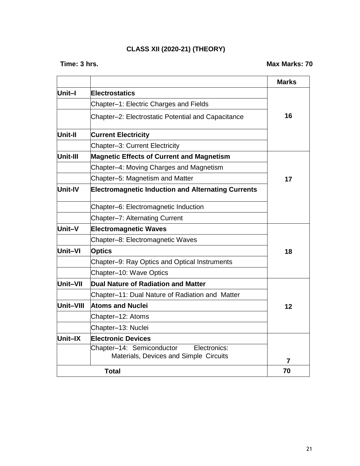### **CLASS XII (2020-21) (THEORY)**

|           |                                                                                     | <b>Marks</b> |
|-----------|-------------------------------------------------------------------------------------|--------------|
| Unit–I    | <b>Electrostatics</b>                                                               |              |
|           | Chapter-1: Electric Charges and Fields                                              |              |
|           | Chapter-2: Electrostatic Potential and Capacitance                                  | 16           |
| Unit-II   | <b>Current Electricity</b>                                                          |              |
|           | Chapter-3: Current Electricity                                                      |              |
| Unit-III  | <b>Magnetic Effects of Current and Magnetism</b>                                    |              |
|           | Chapter-4: Moving Charges and Magnetism                                             |              |
|           | Chapter-5: Magnetism and Matter                                                     | 17           |
| Unit-IV   | <b>Electromagnetic Induction and Alternating Currents</b>                           |              |
|           | Chapter-6: Electromagnetic Induction                                                |              |
|           | Chapter-7: Alternating Current                                                      |              |
| Unit-V    | <b>Electromagnetic Waves</b>                                                        |              |
|           | Chapter-8: Electromagnetic Waves                                                    |              |
| Unit-VI   | <b>Optics</b>                                                                       | 18           |
|           | Chapter-9: Ray Optics and Optical Instruments                                       |              |
|           | Chapter-10: Wave Optics                                                             |              |
| Unit-VII  | Dual Nature of Radiation and Matter                                                 |              |
|           | Chapter-11: Dual Nature of Radiation and Matter                                     |              |
| Unit-VIII | <b>Atoms and Nuclei</b>                                                             | 12           |
|           | Chapter-12: Atoms                                                                   |              |
|           | Chapter-13: Nuclei                                                                  |              |
| Unit–IX   | <b>Electronic Devices</b>                                                           |              |
|           | Chapter-14: Semiconductor<br>Electronics:<br>Materials, Devices and Simple Circuits | 7            |
|           | 70                                                                                  |              |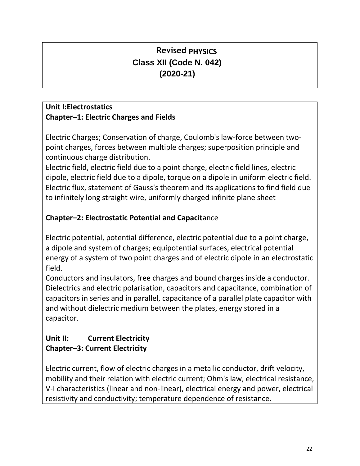## **Revised PHYSICS Class XII (Code N. 042) (2020-21)**

## **Unit I:Electrostatics Chapter–1: Electric Charges and Fields**

Electric Charges; Conservation of charge, Coulomb's law-force between twopoint charges, forces between multiple charges; superposition principle and continuous charge distribution.

Electric field, electric field due to a point charge, electric field lines, electric dipole, electric field due to a dipole, torque on a dipole in uniform electric field. Electric flux, statement of Gauss's theorem and its applications to find field due to infinitely long straight wire, uniformly charged infinite plane sheet

## **Chapter–2: Electrostatic Potential and Capacit**ance

Electric potential, potential difference, electric potential due to a point charge, a dipole and system of charges; equipotential surfaces, electrical potential energy of a system of two point charges and of electric dipole in an electrostatic field.

Conductors and insulators, free charges and bound charges inside a conductor. Dielectrics and electric polarisation, capacitors and capacitance, combination of capacitors in series and in parallel, capacitance of a parallel plate capacitor with and without dielectric medium between the plates, energy stored in a capacitor.

## **Unit II: Current Electricity Chapter–3: Current Electricity**

Electric current, flow of electric charges in a metallic conductor, drift velocity, mobility and their relation with electric current; Ohm's law, electrical resistance, V-I characteristics (linear and non-linear), electrical energy and power, electrical resistivity and conductivity; temperature dependence of resistance.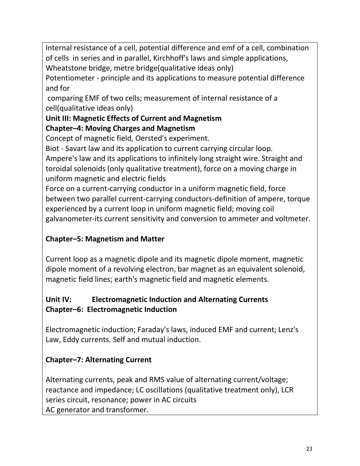Internal resistance of a cell, potential difference and emf of a cell, combination of cells in series and in parallel, Kirchhoff's laws and simple applications, Wheatstone bridge, metre bridge(qualitative ideas only)

Potentiometer - principle and its applications to measure potential difference and for

comparing EMF of two cells; measurement of internal resistance of a cell(qualitative ideas only)

# **Unit III: Magnetic Effects of Current and Magnetism**

## **Chapter–4: Moving Charges and Magnetism**

Concept of magnetic field, Oersted's experiment.

Biot - Savart law and its application to current carrying circular loop. Ampere's law and its applications to infinitely long straight wire. Straight and toroidal solenoids (only qualitative treatment), force on a moving charge in uniform magnetic and electric fields

Force on a current-carrying conductor in a uniform magnetic field, force between two parallel current-carrying conductors-definition of ampere, torque experienced by a current loop in uniform magnetic field; moving coil galvanometer-its current sensitivity and conversion to ammeter and voltmeter.

## **Chapter–5: Magnetism and Matter**

Current loop as a magnetic dipole and its magnetic dipole moment, magnetic dipole moment of a revolving electron, bar magnet as an equivalent solenoid, magnetic field lines; earth's magnetic field and magnetic elements.

## **Unit IV: Electromagnetic Induction and Alternating Currents Chapter–6: Electromagnetic Induction**

Electromagnetic induction; Faraday's laws, induced EMF and current; Lenz's Law, Eddy currents. Self and mutual induction.

## **Chapter–7: Alternating Current**

Alternating currents, peak and RMS value of alternating current/voltage; reactance and impedance; LC oscillations (qualitative treatment only), LCR series circuit, resonance; power in AC circuits AC generator and transformer.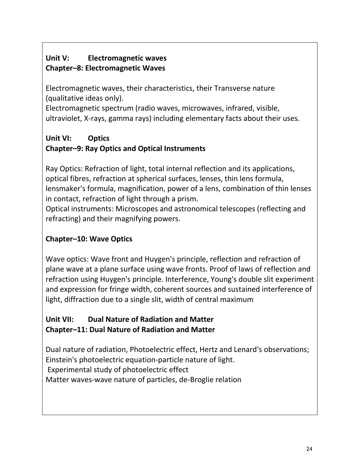## **Unit V: Electromagnetic waves Chapter–8: Electromagnetic Waves**

Electromagnetic waves, their characteristics, their Transverse nature (qualitative ideas only).

Electromagnetic spectrum (radio waves, microwaves, infrared, visible, ultraviolet, X-rays, gamma rays) including elementary facts about their uses.

## **Unit VI: Optics Chapter–9: Ray Optics and Optical Instruments**

Ray Optics: Refraction of light, total internal reflection and its applications, optical fibres, refraction at spherical surfaces, lenses, thin lens formula, lensmaker's formula, magnification, power of a lens, combination of thin lenses in contact, refraction of light through a prism.

Optical instruments: Microscopes and astronomical telescopes (reflecting and refracting) and their magnifying powers.

## **Chapter–10: Wave Optics**

Wave optics: Wave front and Huygen's principle, reflection and refraction of plane wave at a plane surface using wave fronts. Proof of laws of reflection and refraction using Huygen's principle. Interference, Young's double slit experiment and expression for fringe width, coherent sources and sustained interference of light, diffraction due to a single slit, width of central maximum

## **Unit VII: Dual Nature of Radiation and Matter Chapter–11: Dual Nature of Radiation and Matter**

Dual nature of radiation, Photoelectric effect, Hertz and Lenard's observations; Einstein's photoelectric equation-particle nature of light. Experimental study of photoelectric effect Matter waves-wave nature of particles, de-Broglie relation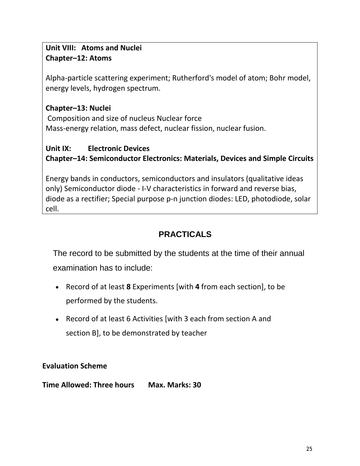## **Unit VIII: Atoms and Nuclei Chapter–12: Atoms**

Alpha-particle scattering experiment; Rutherford's model of atom; Bohr model, energy levels, hydrogen spectrum.

## **Chapter–13: Nuclei**

Composition and size of nucleus Nuclear force Mass-energy relation, mass defect, nuclear fission, nuclear fusion.

## **Unit IX: Electronic Devices Chapter–14: Semiconductor Electronics: Materials, Devices and Simple Circuits**

Energy bands in conductors, semiconductors and insulators (qualitative ideas only) Semiconductor diode - I-V characteristics in forward and reverse bias, diode as a rectifier; Special purpose p-n junction diodes: LED, photodiode, solar cell.

## **PRACTICALS**

The record to be submitted by the students at the time of their annual examination has to include:

- Record of at least **8** Experiments [with **4** from each section], to be performed by the students.
- Record of at least 6 Activities [with 3 each from section A and section B], to be demonstrated by teacher

## **Evaluation Scheme**

**Time Allowed: Three hours Max. Marks: 30**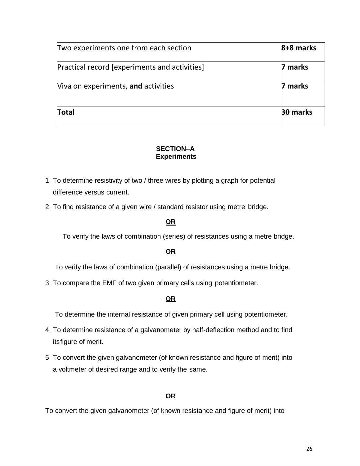| Two experiments one from each section         | 8+8 marks |
|-----------------------------------------------|-----------|
| Practical record [experiments and activities] | 7 marks   |
| Viva on experiments, and activities           | 7 marks   |
| <b>Total</b>                                  | 30 marks  |

#### **SECTION–A Experiments**

- 1. To determine resistivity of two / three wires by plotting a graph for potential difference versus current.
- 2. To find resistance of a given wire / standard resistor using metre bridge.

### **OR**

To verify the laws of combination (series) of resistances using a metre bridge.

#### **OR**

To verify the laws of combination (parallel) of resistances using a metre bridge.

3. To compare the EMF of two given primary cells using potentiometer.

#### **OR**

To determine the internal resistance of given primary cell using potentiometer.

- 4. To determine resistance of a galvanometer by half-deflection method and to find itsfigure of merit.
- 5. To convert the given galvanometer (of known resistance and figure of merit) into a voltmeter of desired range and to verify the same.

#### **OR**

To convert the given galvanometer (of known resistance and figure of merit) into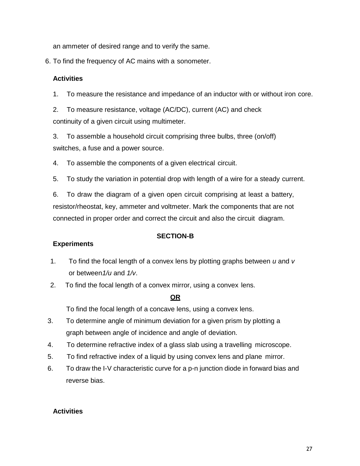an ammeter of desired range and to verify the same.

6. To find the frequency of AC mains with a sonometer.

#### **Activities**

1. To measure the resistance and impedance of an inductor with or without iron core.

2. To measure resistance, voltage (AC/DC), current (AC) and check continuity of a given circuit using multimeter.

3. To assemble a household circuit comprising three bulbs, three (on/off) switches, a fuse and a power source.

4. To assemble the components of a given electrical circuit.

5. To study the variation in potential drop with length of a wire for a steady current.

6. To draw the diagram of a given open circuit comprising at least a battery, resistor/rheostat, key, ammeter and voltmeter. Mark the components that are not connected in proper order and correct the circuit and also the circuit diagram.

#### **Experiments**

#### **SECTION-B**

- 1. To find the focal length of a convex lens by plotting graphs between *u* and *v*  or between*1/u* and *1/v*.
- 2. To find the focal length of a convex mirror, using a convex lens.

#### **OR**

To find the focal length of a concave lens, using a convex lens.

- 3. To determine angle of minimum deviation for a given prism by plotting a graph between angle of incidence and angle of deviation.
- 4. To determine refractive index of a glass slab using a travelling microscope.
- 5. To find refractive index of a liquid by using convex lens and plane mirror.
- 6. To draw the I-V characteristic curve for a p-n junction diode in forward bias and reverse bias.

#### **Activities**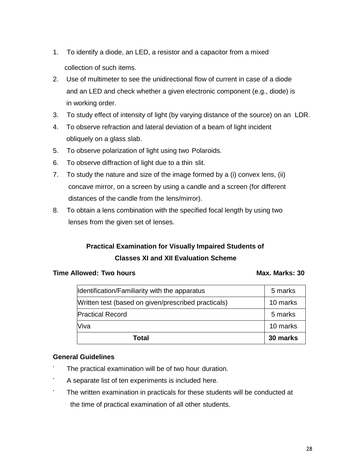- 1. To identify a diode, an LED, a resistor and a capacitor from a mixed collection of such items.
- 2. Use of multimeter to see the unidirectional flow of current in case of a diode and an LED and check whether a given electronic component (e.g., diode) is in working order.
- 3. To study effect of intensity of light (by varying distance of the source) on an LDR.
- 4. To observe refraction and lateral deviation of a beam of light incident obliquely on a glass slab.
- 5. To observe polarization of light using two Polaroids.
- 6. To observe diffraction of light due to a thin slit.
- 7. To study the nature and size of the image formed by a (i) convex lens, (ii) concave mirror, on a screen by using a candle and a screen (for different distances of the candle from the lens/mirror).
- 8. To obtain a lens combination with the specified focal length by using two lenses from the given set of lenses.

## **Practical Examination for Visually Impaired Students of Classes XI and XII Evaluation Scheme**

#### **Time Allowed: Two hours Max. Marks: 30**

| Total                                               | 30 marks |
|-----------------------------------------------------|----------|
| Viva                                                | 10 marks |
| <b>Practical Record</b>                             | 5 marks  |
| Written test (based on given/prescribed practicals) | 10 marks |
| Identification/Familiarity with the apparatus       | 5 marks  |

#### **General Guidelines**

- The practical examination will be of two hour duration.
- A separate list of ten experiments is included here.
- The written examination in practicals for these students will be conducted at the time of practical examination of all other students.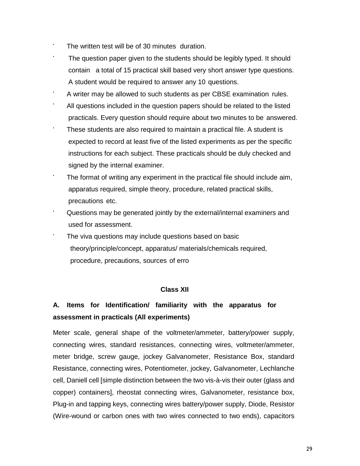- The written test will be of 30 minutes duration.
- The question paper given to the students should be legibly typed. It should contain a total of 15 practical skill based very short answer type questions. A student would be required to answer any 10 questions.
- A writer may be allowed to such students as per CBSE examination rules.
- All questions included in the question papers should be related to the listed practicals. Every question should require about two minutes to be answered.
- These students are also required to maintain a practical file. A student is expected to record at least five of the listed experiments as per the specific instructions for each subject. These practicals should be duly checked and signed by the internal examiner.
- The format of writing any experiment in the practical file should include aim, apparatus required, simple theory, procedure, related practical skills, precautions etc.
- Questions may be generated jointly by the external/internal examiners and used for assessment.
- The viva questions may include questions based on basic theory/principle/concept, apparatus/ materials/chemicals required, procedure, precautions, sources of erro

#### **Class XII**

## **A. Items for Identification/ familiarity with the apparatus for assessment in practicals (All experiments)**

Meter scale, general shape of the voltmeter/ammeter, battery/power supply, connecting wires, standard resistances, connecting wires, voltmeter/ammeter, meter bridge, screw gauge, jockey Galvanometer, Resistance Box, standard Resistance, connecting wires, Potentiometer, jockey, Galvanometer, Lechlanche cell, Daniell cell [simple distinction between the two vis-à-vis their outer (glass and copper) containers], rheostat connecting wires, Galvanometer, resistance box, Plug-in and tapping keys, connecting wires battery/power supply, Diode, Resistor (Wire-wound or carbon ones with two wires connected to two ends), capacitors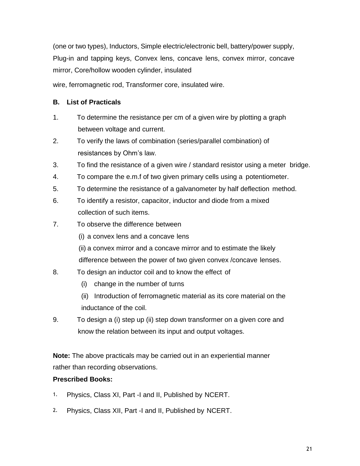(one or two types), Inductors, Simple electric/electronic bell, battery/power supply, Plug-in and tapping keys, Convex lens, concave lens, convex mirror, concave mirror, Core/hollow wooden cylinder, insulated

wire, ferromagnetic rod, Transformer core, insulated wire.

#### **B. List of Practicals**

- 1. To determine the resistance per cm of a given wire by plotting a graph between voltage and current.
- 2. To verify the laws of combination (series/parallel combination) of resistances by Ohm's law.
- 3. To find the resistance of a given wire / standard resistor using a meter bridge.
- 4. To compare the e.m.f of two given primary cells using a potentiometer.
- 5. To determine the resistance of a galvanometer by half deflection method.
- 6. To identify a resistor, capacitor, inductor and diode from a mixed collection of such items.
- 7. To observe the difference between
	- (i) a convex lens and a concave lens
	- (ii) a convex mirror and a concave mirror and to estimate the likely
	- difference between the power of two given convex /concave lenses.
- 8. To design an inductor coil and to know the effect of
	- (i) change in the number of turns
	- (ii) Introduction of ferromagnetic material as its core material on the inductance of the coil.
- 9. To design a (i) step up (ii) step down transformer on a given core and know the relation between its input and output voltages.

**Note:** The above practicals may be carried out in an experiential manner rather than recording observations.

#### **Prescribed Books:**

- 1. Physics, Class XI, Part -I and II, Published by NCERT.
- 2. Physics, Class XII, Part -I and II, Published by NCERT.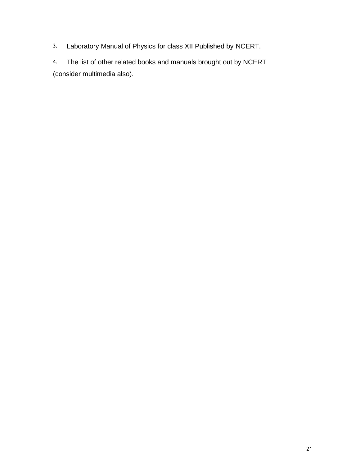3. Laboratory Manual of Physics for class XII Published by NCERT.

4. The list of other related books and manuals brought out by NCERT (consider multimedia also).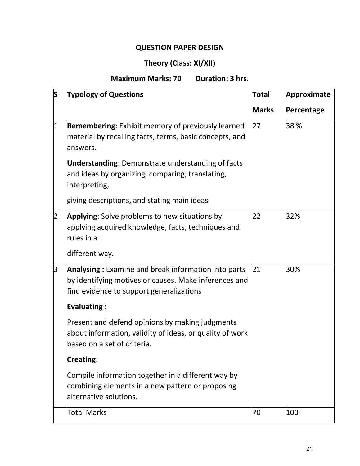## **QUESTION PAPER DESIGN**

## **Theory (Class: XI/XII)**

**Maximum Marks: 70 Duration: 3 hrs.**

| S | <b>Typology of Questions</b>                                                                                                                                                   | <b>Total</b> | <b>Approximate</b> |
|---|--------------------------------------------------------------------------------------------------------------------------------------------------------------------------------|--------------|--------------------|
|   |                                                                                                                                                                                | <b>Marks</b> | Percentage         |
| 1 | <b>Remembering:</b> Exhibit memory of previously learned<br>material by recalling facts, terms, basic concepts, and<br>answers.                                                | 27           | 38 %               |
|   | <b>Understanding:</b> Demonstrate understanding of facts<br>and ideas by organizing, comparing, translating,<br>interpreting,                                                  |              |                    |
|   | giving descriptions, and stating main ideas                                                                                                                                    |              |                    |
| 2 | Applying: Solve problems to new situations by<br>applying acquired knowledge, facts, techniques and<br>rules in a                                                              | 22           | 32%                |
|   | different way.                                                                                                                                                                 |              |                    |
| 3 | Analysing: Examine and break information into parts<br>by identifying motives or causes. Make inferences and<br>find evidence to support generalizations<br><b>Evaluating:</b> | 21           | 30%                |
|   | Present and defend opinions by making judgments<br>about information, validity of ideas, or quality of work<br>based on a set of criteria.                                     |              |                    |
|   | Creating:                                                                                                                                                                      |              |                    |
|   | Compile information together in a different way by<br>combining elements in a new pattern or proposing<br>lalternative solutions.                                              |              |                    |
|   | Total Marks                                                                                                                                                                    | 70           | 100                |